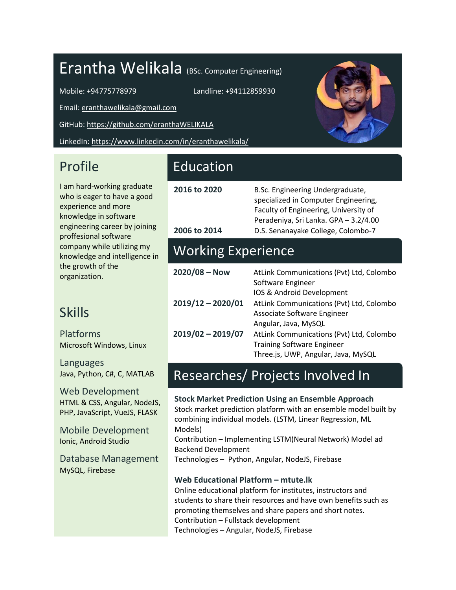# Erantha Welikala (BSc. Computer Engineering)

Mobile: +94775778979 Landline: +94112859930

Email[: eranthawelikala@gmail.com](mailto:eranthawelikala@gmail.com)

GitHub[: https://github.com/eranthaWELIKALA](https://github.com/eranthaWELIKALA)

LinkedIn[: https://www.linkedin.com/in/eranthawelikala/](https://www.linkedin.com/in/eranthawelikala/)

### Profile

I am hard-working graduate who is eager to have a good experience and more knowledge in software engineering career by joining proffesional software company while utilizing my knowledge and intelligence in the growth of the organization.

### Skills

Platforms Microsoft Windows, Linux

Languages Java, Python, C#, C, MATLAB

Web Development HTML & CSS, Angular, NodeJS, PHP, JavaScript, VueJS, FLASK

Mobile Development Ionic, Android Studio

Database Management MySQL, Firebase

### Education

**2016 to 2020** B.Sc. Engineering Undergraduate, specialized in Computer Engineering, Faculty of Engineering, University of Peradeniya, Sri Lanka. GPA – 3.2/4.00 **2006 to 2014** D.S. Senanayake College, Colombo-7

### Working Experience

| $2020/08 - Now$     | AtLink Communications (Pvt) Ltd, Colombo |
|---------------------|------------------------------------------|
|                     | Software Engineer                        |
|                     | IOS & Android Development                |
| $2019/12 - 2020/01$ | AtLink Communications (Pvt) Ltd, Colombo |
|                     | Associate Software Engineer              |
|                     | Angular, Java, MySQL                     |
| $2019/02 - 2019/07$ | AtLink Communications (Pvt) Ltd, Colombo |
|                     | <b>Training Software Engineer</b>        |
|                     | Three.js, UWP, Angular, Java, MySQL      |

## Researches/ Projects Involved In

**Stock Market Prediction Using an Ensemble Approach**  Stock market prediction platform with an ensemble model built by combining individual models. (LSTM, Linear Regression, ML Models) Contribution – Implementing LSTM(Neural Network) Model ad Backend Development Technologies – Python, Angular, NodeJS, Firebase

#### **Web Educational Platform – mtute.lk**

Online educational platform for institutes, instructors and students to share their resources and have own benefits such as promoting themselves and share papers and short notes. Contribution – Fullstack development Technologies – Angular, NodeJS, Firebase